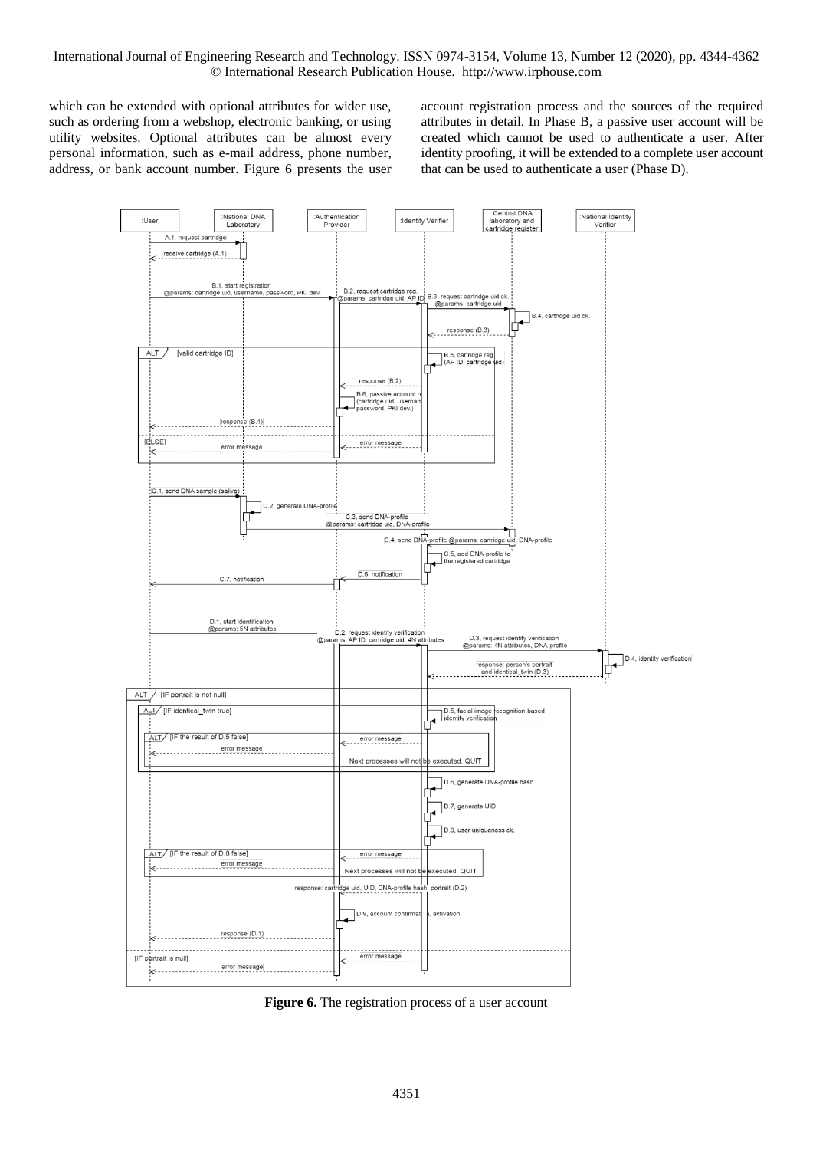which can be extended with optional attributes for wider use, such as ordering from a webshop, electronic banking, or using utility websites. Optional attributes can be almost every personal information, such as e-mail address, phone number, address, or bank account number. Figure 6 presents the user account registration process and the sources of the required attributes in detail. In Phase B, a passive user account will be created which cannot be used to authenticate a user. After identity proofing, it will be extended to a complete user account that can be used to authenticate a user (Phase D).



Figure 6. The registration process of a user account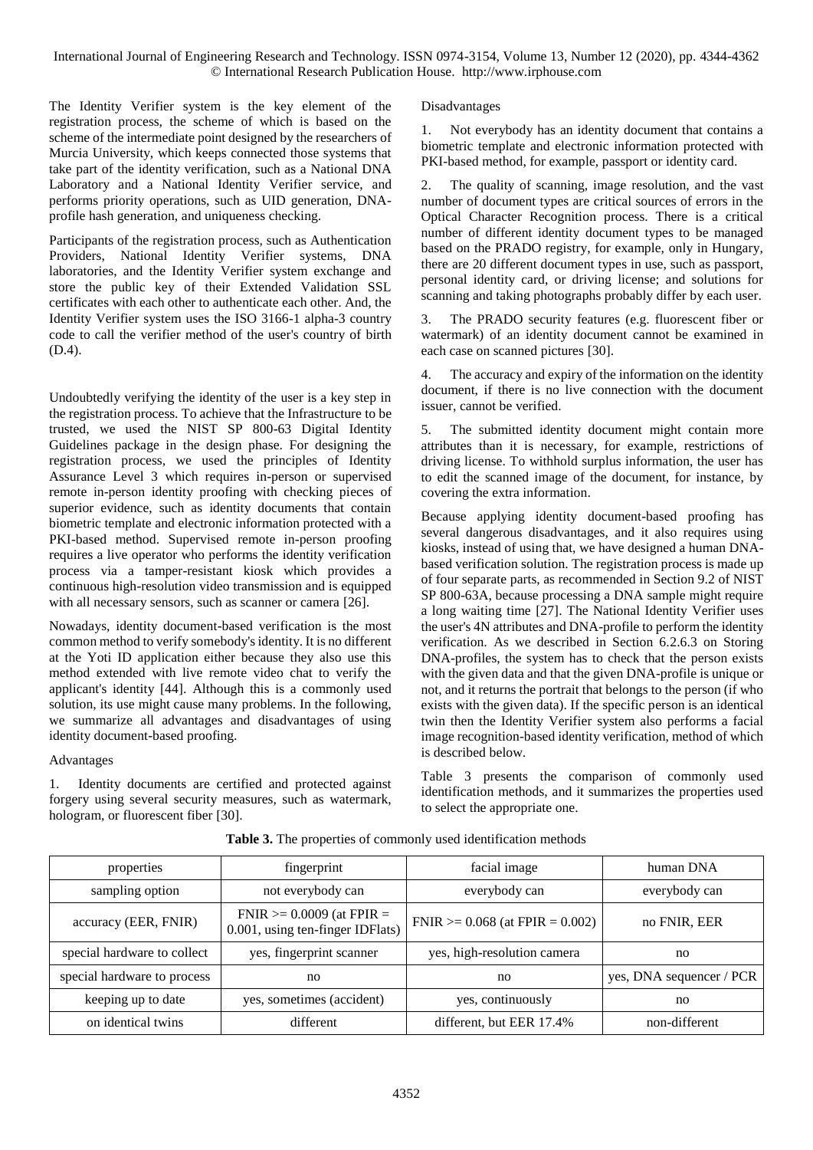The Identity Verifier system is the key element of the registration process, the scheme of which is based on the scheme of the intermediate point designed by the researchers of Murcia University, which keeps connected those systems that take part of the identity verification, such as a National DNA Laboratory and a National Identity Verifier service, and performs priority operations, such as UID generation, DNAprofile hash generation, and uniqueness checking.

Participants of the registration process, such as Authentication Providers, National Identity Verifier systems, DNA laboratories, and the Identity Verifier system exchange and store the public key of their Extended Validation SSL certificates with each other to authenticate each other. And, the Identity Verifier system uses the ISO 3166-1 alpha-3 country code to call the verifier method of the user's country of birth (D.4).

Undoubtedly verifying the identity of the user is a key step in the registration process. To achieve that the Infrastructure to be trusted, we used the NIST SP 800-63 Digital Identity Guidelines package in the design phase. For designing the registration process, we used the principles of Identity Assurance Level 3 which requires in-person or supervised remote in-person identity proofing with checking pieces of superior evidence, such as identity documents that contain biometric template and electronic information protected with a PKI-based method. Supervised remote in-person proofing requires a live operator who performs the identity verification process via a tamper-resistant kiosk which provides a continuous high-resolution video transmission and is equipped with all necessary sensors, such as scanner or camera [26].

Nowadays, identity document-based verification is the most common method to verify somebody's identity. It is no different at the Yoti ID application either because they also use this method extended with live remote video chat to verify the applicant's identity [44]. Although this is a commonly used solution, its use might cause many problems. In the following, we summarize all advantages and disadvantages of using identity document-based proofing.

# Advantages

1. Identity documents are certified and protected against forgery using several security measures, such as watermark, hologram, or fluorescent fiber [30].

# Disadvantages

1. Not everybody has an identity document that contains a biometric template and electronic information protected with PKI-based method, for example, passport or identity card.

2. The quality of scanning, image resolution, and the vast number of document types are critical sources of errors in the Optical Character Recognition process. There is a critical number of different identity document types to be managed based on the PRADO registry, for example, only in Hungary, there are 20 different document types in use, such as passport, personal identity card, or driving license; and solutions for scanning and taking photographs probably differ by each user.

3. The PRADO security features (e.g. fluorescent fiber or watermark) of an identity document cannot be examined in each case on scanned pictures [30].

4. The accuracy and expiry of the information on the identity document, if there is no live connection with the document issuer, cannot be verified.

5. The submitted identity document might contain more attributes than it is necessary, for example, restrictions of driving license. To withhold surplus information, the user has to edit the scanned image of the document, for instance, by covering the extra information.

Because applying identity document-based proofing has several dangerous disadvantages, and it also requires using kiosks, instead of using that, we have designed a human DNAbased verification solution. The registration process is made up of four separate parts, as recommended in Section 9.2 of NIST SP 800-63A, because processing a DNA sample might require a long waiting time [27]. The National Identity Verifier uses the user's 4N attributes and DNA-profile to perform the identity verification. As we described in Section 6.2.6.3 on Storing DNA-profiles, the system has to check that the person exists with the given data and that the given DNA-profile is unique or not, and it returns the portrait that belongs to the person (if who exists with the given data). If the specific person is an identical twin then the Identity Verifier system also performs a facial image recognition-based identity verification, method of which is described below.

Table 3 presents the comparison of commonly used identification methods, and it summarizes the properties used to select the appropriate one.

| properties                  | fingerprint                                                        | facial image                         | human DNA                |
|-----------------------------|--------------------------------------------------------------------|--------------------------------------|--------------------------|
| sampling option             | not everybody can                                                  | everybody can                        | everybody can            |
| accuracy (EER, FNIR)        | $FNIR \ge 0.0009$ (at $FPIR =$<br>0.001, using ten-finger IDFlats) | FNIR $>= 0.068$ (at FPIR $= 0.002$ ) | no FNIR, EER             |
| special hardware to collect | yes, fingerprint scanner                                           | yes, high-resolution camera          | no                       |
| special hardware to process | no                                                                 | no                                   | yes, DNA sequencer / PCR |
| keeping up to date          | yes, sometimes (accident)                                          | yes, continuously                    | no                       |
| on identical twins          | different                                                          | different, but EER 17.4%             | non-different            |

**Table 3.** The properties of commonly used identification methods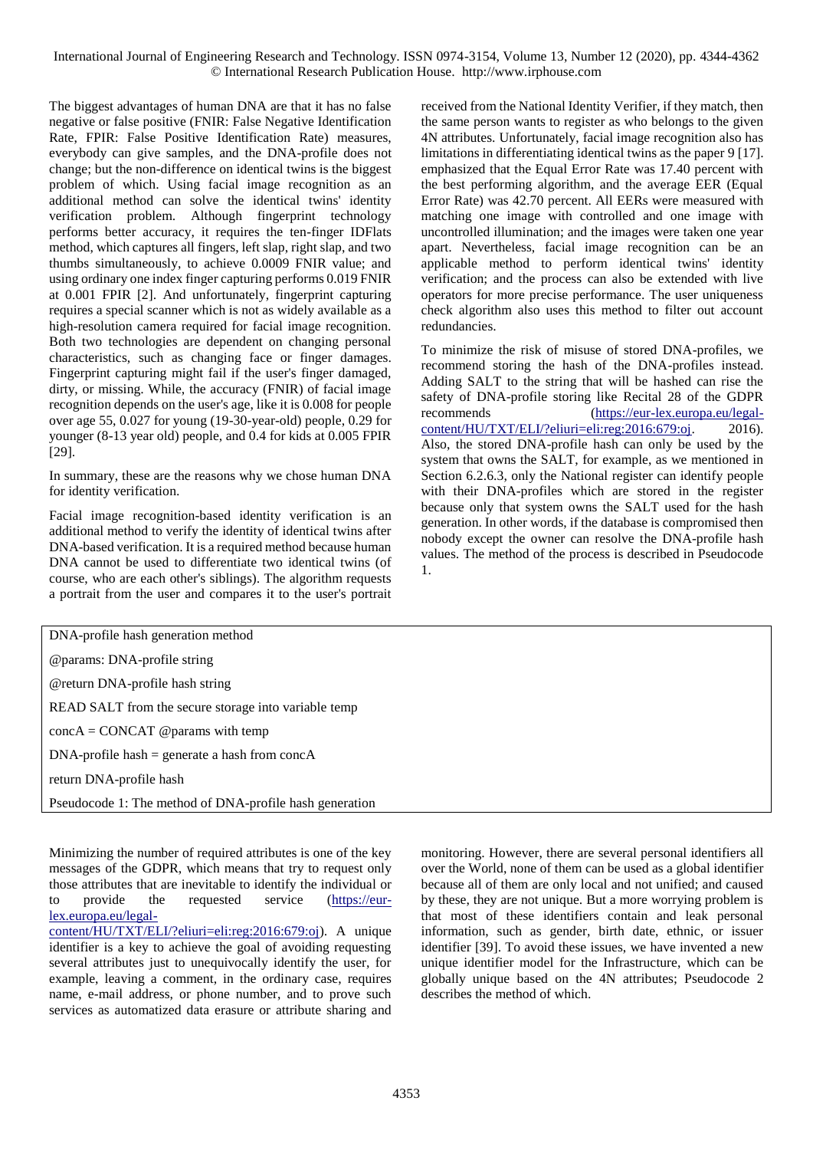The biggest advantages of human DNA are that it has no false negative or false positive (FNIR: False Negative Identification Rate, FPIR: False Positive Identification Rate) measures, everybody can give samples, and the DNA-profile does not change; but the non-difference on identical twins is the biggest problem of which. Using facial image recognition as an additional method can solve the identical twins' identity verification problem. Although fingerprint technology performs better accuracy, it requires the ten-finger IDFlats method, which captures all fingers, left slap, right slap, and two thumbs simultaneously, to achieve 0.0009 FNIR value; and using ordinary one index finger capturing performs 0.019 FNIR at 0.001 FPIR [2]. And unfortunately, fingerprint capturing requires a special scanner which is not as widely available as a high-resolution camera required for facial image recognition. Both two technologies are dependent on changing personal characteristics, such as changing face or finger damages. Fingerprint capturing might fail if the user's finger damaged, dirty, or missing. While, the accuracy (FNIR) of facial image recognition depends on the user's age, like it is 0.008 for people over age 55, 0.027 for young (19-30-year-old) people, 0.29 for younger (8-13 year old) people, and 0.4 for kids at 0.005 FPIR [29].

In summary, these are the reasons why we chose human DNA for identity verification.

Facial image recognition-based identity verification is an additional method to verify the identity of identical twins after DNA-based verification. It is a required method because human DNA cannot be used to differentiate two identical twins (of course, who are each other's siblings). The algorithm requests a portrait from the user and compares it to the user's portrait

received from the National Identity Verifier, if they match, then the same person wants to register as who belongs to the given 4N attributes. Unfortunately, facial image recognition also has limitations in differentiating identical twins as the paper 9 [17]. emphasized that the Equal Error Rate was 17.40 percent with the best performing algorithm, and the average EER (Equal Error Rate) was 42.70 percent. All EERs were measured with matching one image with controlled and one image with uncontrolled illumination; and the images were taken one year apart. Nevertheless, facial image recognition can be an applicable method to perform identical twins' identity verification; and the process can also be extended with live operators for more precise performance. The user uniqueness check algorithm also uses this method to filter out account redundancies.

To minimize the risk of misuse of stored DNA-profiles, we recommend storing the hash of the DNA-profiles instead. Adding SALT to the string that will be hashed can rise the safety of DNA-profile storing like Recital 28 of the GDPR recommends [\(https://eur-lex.europa.eu/legal](https://eur-lex.europa.eu/legal-content/HU/TXT/ELI/?eliuri=eli:reg:2016:679:oj)[content/HU/TXT/ELI/?eliuri=eli:reg:2016:679:oj.](https://eur-lex.europa.eu/legal-content/HU/TXT/ELI/?eliuri=eli:reg:2016:679:oj) 2016). Also, the stored DNA-profile hash can only be used by the system that owns the SALT, for example, as we mentioned in Section 6.2.6.3, only the National register can identify people with their DNA-profiles which are stored in the register because only that system owns the SALT used for the hash generation. In other words, if the database is compromised then nobody except the owner can resolve the DNA-profile hash values. The method of the process is described in Pseudocode 1.

| DNA-profile hash generation method                      |  |  |
|---------------------------------------------------------|--|--|
| @params: DNA-profile string                             |  |  |
| @return DNA-profile hash string                         |  |  |
| READ SALT from the secure storage into variable temp    |  |  |
| $concA = CONCAT$ @ params with temp                     |  |  |
| $DNA$ -profile hash = generate a hash from conc $A$     |  |  |
| return DNA-profile hash                                 |  |  |
| Pseudocode 1: The method of DNA-profile hash generation |  |  |
|                                                         |  |  |

Minimizing the number of required attributes is one of the key messages of the GDPR, which means that try to request only those attributes that are inevitable to identify the individual or to provide the requested service [\(https://eur](https://eur-lex.europa.eu/legal-content/HU/TXT/ELI/?eliuri=eli:reg:2016:679:oj)[lex.europa.eu/legal-](https://eur-lex.europa.eu/legal-content/HU/TXT/ELI/?eliuri=eli:reg:2016:679:oj)

[content/HU/TXT/ELI/?eliuri=eli:reg:2016:679:oj\)](https://eur-lex.europa.eu/legal-content/HU/TXT/ELI/?eliuri=eli:reg:2016:679:oj). A unique identifier is a key to achieve the goal of avoiding requesting several attributes just to unequivocally identify the user, for example, leaving a comment, in the ordinary case, requires name, e-mail address, or phone number, and to prove such services as automatized data erasure or attribute sharing and monitoring. However, there are several personal identifiers all over the World, none of them can be used as a global identifier because all of them are only local and not unified; and caused by these, they are not unique. But a more worrying problem is that most of these identifiers contain and leak personal information, such as gender, birth date, ethnic, or issuer identifier [39]. To avoid these issues, we have invented a new unique identifier model for the Infrastructure, which can be globally unique based on the 4N attributes; Pseudocode 2 describes the method of which.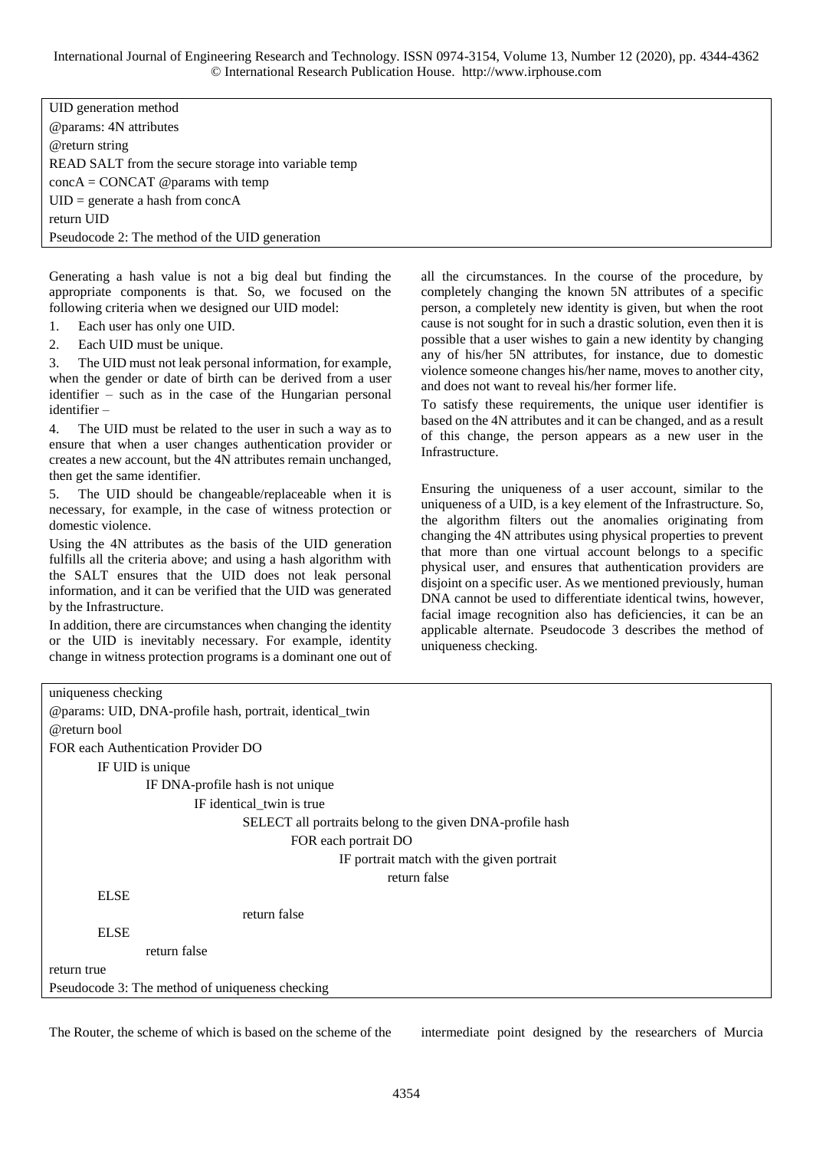UID generation method @params: 4N attributes @return string READ SALT from the secure storage into variable temp concA = CONCAT @params with temp UID = generate a hash from concA return UID Pseudocode 2: The method of the UID generation

Generating a hash value is not a big deal but finding the appropriate components is that. So, we focused on the following criteria when we designed our UID model:

- 1. Each user has only one UID.
- 2. Each UID must be unique.

3. The UID must not leak personal information, for example, when the gender or date of birth can be derived from a user identifier – such as in the case of the Hungarian personal identifier –

4. The UID must be related to the user in such a way as to ensure that when a user changes authentication provider or creates a new account, but the 4N attributes remain unchanged, then get the same identifier.

5. The UID should be changeable/replaceable when it is necessary, for example, in the case of witness protection or domestic violence.

Using the 4N attributes as the basis of the UID generation fulfills all the criteria above; and using a hash algorithm with the SALT ensures that the UID does not leak personal information, and it can be verified that the UID was generated by the Infrastructure.

In addition, there are circumstances when changing the identity or the UID is inevitably necessary. For example, identity change in witness protection programs is a dominant one out of all the circumstances. In the course of the procedure, by completely changing the known 5N attributes of a specific person, a completely new identity is given, but when the root cause is not sought for in such a drastic solution, even then it is possible that a user wishes to gain a new identity by changing any of his/her 5N attributes, for instance, due to domestic violence someone changes his/her name, moves to another city, and does not want to reveal his/her former life.

To satisfy these requirements, the unique user identifier is based on the 4N attributes and it can be changed, and as a result of this change, the person appears as a new user in the Infrastructure.

Ensuring the uniqueness of a user account, similar to the uniqueness of a UID, is a key element of the Infrastructure. So, the algorithm filters out the anomalies originating from changing the 4N attributes using physical properties to prevent that more than one virtual account belongs to a specific physical user, and ensures that authentication providers are disjoint on a specific user. As we mentioned previously, human DNA cannot be used to differentiate identical twins, however, facial image recognition also has deficiencies, it can be an applicable alternate. Pseudocode 3 describes the method of uniqueness checking.

| uniqueness checking                                       |  |  |
|-----------------------------------------------------------|--|--|
| @params: UID, DNA-profile hash, portrait, identical_twin  |  |  |
| @return bool                                              |  |  |
| FOR each Authentication Provider DO                       |  |  |
| IF UID is unique                                          |  |  |
| IF DNA-profile hash is not unique                         |  |  |
| IF identical_twin is true                                 |  |  |
| SELECT all portraits belong to the given DNA-profile hash |  |  |
| FOR each portrait DO                                      |  |  |
| IF portrait match with the given portrait                 |  |  |
| return false                                              |  |  |
| <b>ELSE</b>                                               |  |  |
| return false                                              |  |  |
| <b>ELSE</b>                                               |  |  |
| return false                                              |  |  |
| return true                                               |  |  |
| Pseudocode 3: The method of uniqueness checking           |  |  |
|                                                           |  |  |

The Router, the scheme of which is based on the scheme of the intermediate point designed by the researchers of Murcia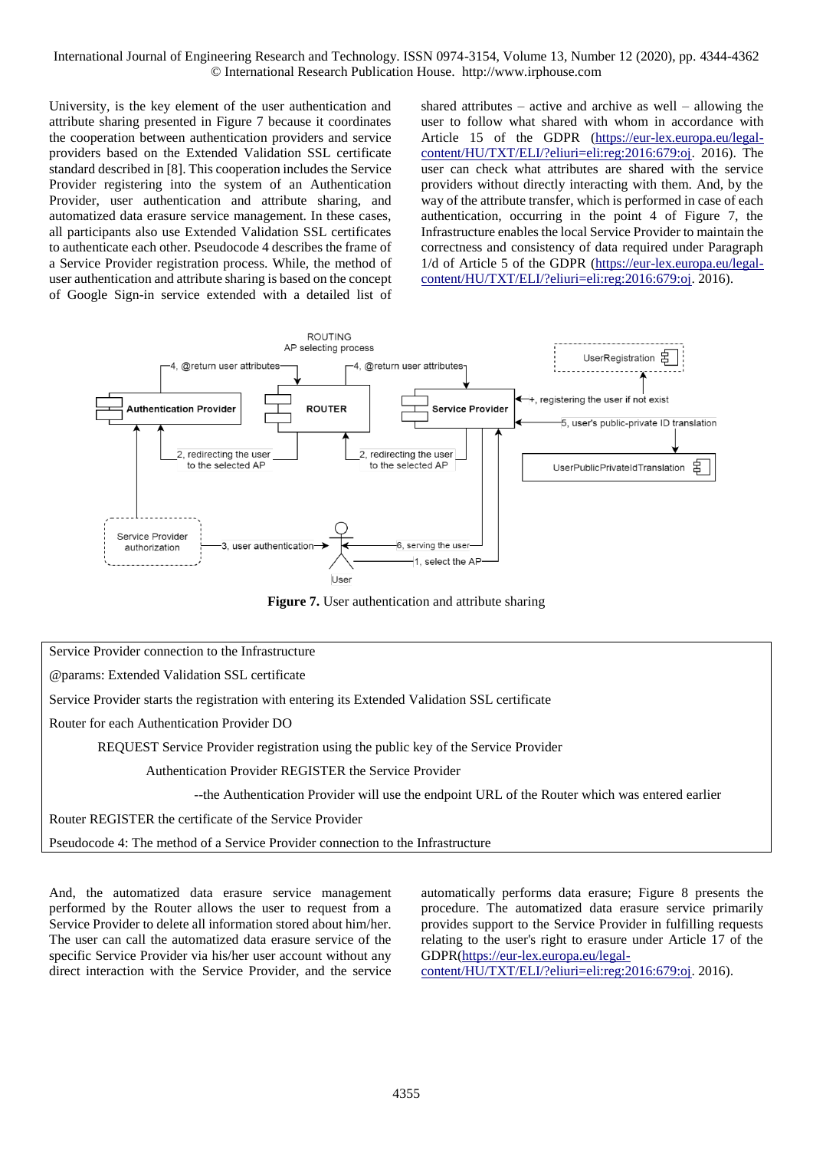University, is the key element of the user authentication and attribute sharing presented in Figure 7 because it coordinates the cooperation between authentication providers and service providers based on the Extended Validation SSL certificate standard described in [8]. This cooperation includes the Service Provider registering into the system of an Authentication Provider, user authentication and attribute sharing, and automatized data erasure service management. In these cases, all participants also use Extended Validation SSL certificates to authenticate each other. Pseudocode 4 describes the frame of a Service Provider registration process. While, the method of user authentication and attribute sharing is based on the concept of Google Sign-in service extended with a detailed list of shared attributes – active and archive as well – allowing the user to follow what shared with whom in accordance with Article 15 of the GDPR [\(https://eur-lex.europa.eu/legal](https://eur-lex.europa.eu/legal-content/HU/TXT/ELI/?eliuri=eli:reg:2016:679:oj)[content/HU/TXT/ELI/?eliuri=eli:reg:2016:679:oj.](https://eur-lex.europa.eu/legal-content/HU/TXT/ELI/?eliuri=eli:reg:2016:679:oj) 2016). The user can check what attributes are shared with the service providers without directly interacting with them. And, by the way of the attribute transfer, which is performed in case of each authentication, occurring in the point 4 of Figure 7, the Infrastructure enables the local Service Provider to maintain the correctness and consistency of data required under Paragraph 1/d of Article 5 of the GDPR [\(https://eur-lex.europa.eu/legal](https://eur-lex.europa.eu/legal-content/HU/TXT/ELI/?eliuri=eli:reg:2016:679:oj)[content/HU/TXT/ELI/?eliuri=eli:reg:2016:679:oj.](https://eur-lex.europa.eu/legal-content/HU/TXT/ELI/?eliuri=eli:reg:2016:679:oj) 2016).



**Figure 7.** User authentication and attribute sharing

Service Provider connection to the Infrastructure

@params: Extended Validation SSL certificate

Service Provider starts the registration with entering its Extended Validation SSL certificate

Router for each Authentication Provider DO

REQUEST Service Provider registration using the public key of the Service Provider

Authentication Provider REGISTER the Service Provider

--the Authentication Provider will use the endpoint URL of the Router which was entered earlier

Router REGISTER the certificate of the Service Provider

Pseudocode 4: The method of a Service Provider connection to the Infrastructure

And, the automatized data erasure service management performed by the Router allows the user to request from a Service Provider to delete all information stored about him/her. The user can call the automatized data erasure service of the specific Service Provider via his/her user account without any direct interaction with the Service Provider, and the service automatically performs data erasure; Figure 8 presents the procedure. The automatized data erasure service primarily provides support to the Service Provider in fulfilling requests relating to the user's right to erasure under Article 17 of the GDPR[\(https://eur-lex.europa.eu/legal-](https://eur-lex.europa.eu/legal-content/HU/TXT/ELI/?eliuri=eli:reg:2016:679:oj)

[content/HU/TXT/ELI/?eliuri=eli:reg:2016:679:oj.](https://eur-lex.europa.eu/legal-content/HU/TXT/ELI/?eliuri=eli:reg:2016:679:oj) 2016).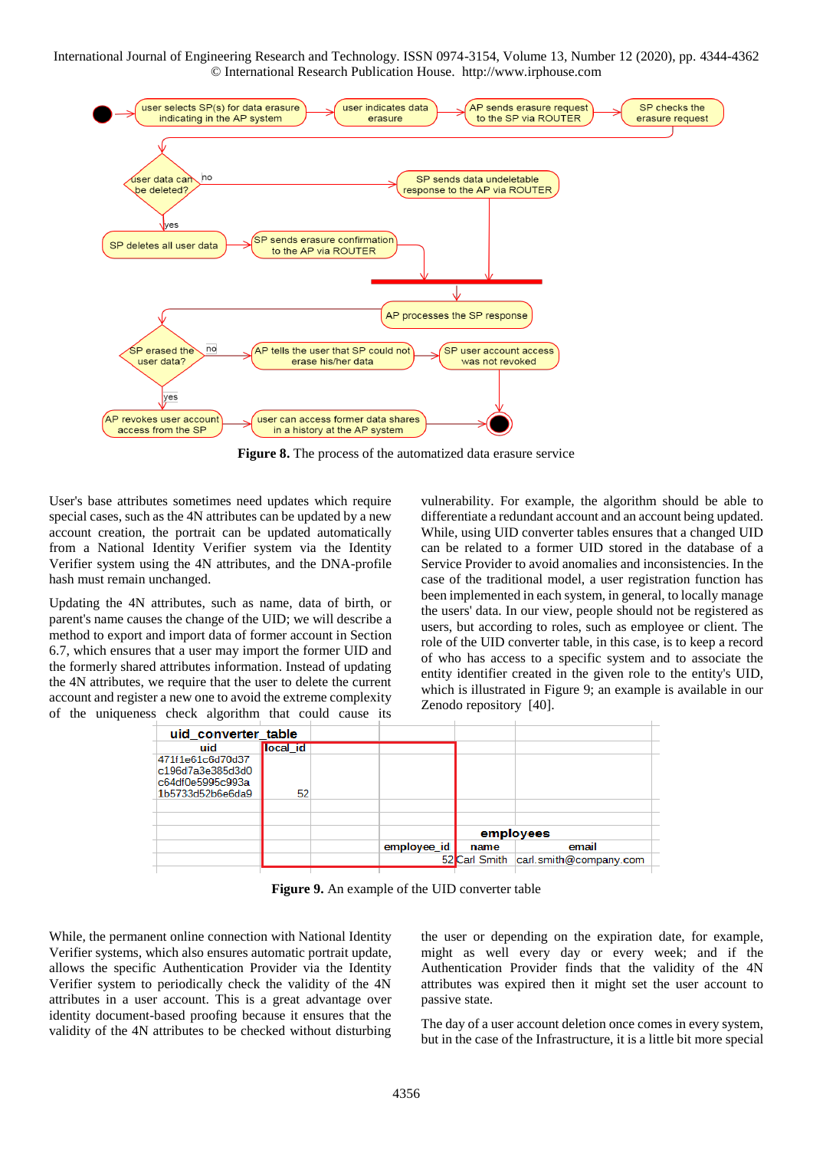

**Figure 8.** The process of the automatized data erasure service

User's base attributes sometimes need updates which require special cases, such as the 4N attributes can be updated by a new account creation, the portrait can be updated automatically from a National Identity Verifier system via the Identity Verifier system using the 4N attributes, and the DNA-profile hash must remain unchanged.

Updating the 4N attributes, such as name, data of birth, or parent's name causes the change of the UID; we will describe a method to export and import data of former account in Section 6.7, which ensures that a user may import the former UID and the formerly shared attributes information. Instead of updating the 4N attributes, we require that the user to delete the current account and register a new one to avoid the extreme complexity of the uniqueness check algorithm that could cause its vulnerability. For example, the algorithm should be able to differentiate a redundant account and an account being updated. While, using UID converter tables ensures that a changed UID can be related to a former UID stored in the database of a Service Provider to avoid anomalies and inconsistencies. In the case of the traditional model, a user registration function has been implemented in each system, in general, to locally manage the users' data. In our view, people should not be registered as users, but according to roles, such as employee or client. The role of the UID converter table, in this case, is to keep a record of who has access to a specific system and to associate the entity identifier created in the given role to the entity's UID, which is illustrated in Figure 9; an example is available in our Zenodo repository [40].



**Figure 9.** An example of the UID converter table

While, the permanent online connection with National Identity Verifier systems, which also ensures automatic portrait update, allows the specific Authentication Provider via the Identity Verifier system to periodically check the validity of the 4N attributes in a user account. This is a great advantage over identity document-based proofing because it ensures that the validity of the 4N attributes to be checked without disturbing the user or depending on the expiration date, for example, might as well every day or every week; and if the Authentication Provider finds that the validity of the 4N attributes was expired then it might set the user account to passive state.

The day of a user account deletion once comes in every system, but in the case of the Infrastructure, it is a little bit more special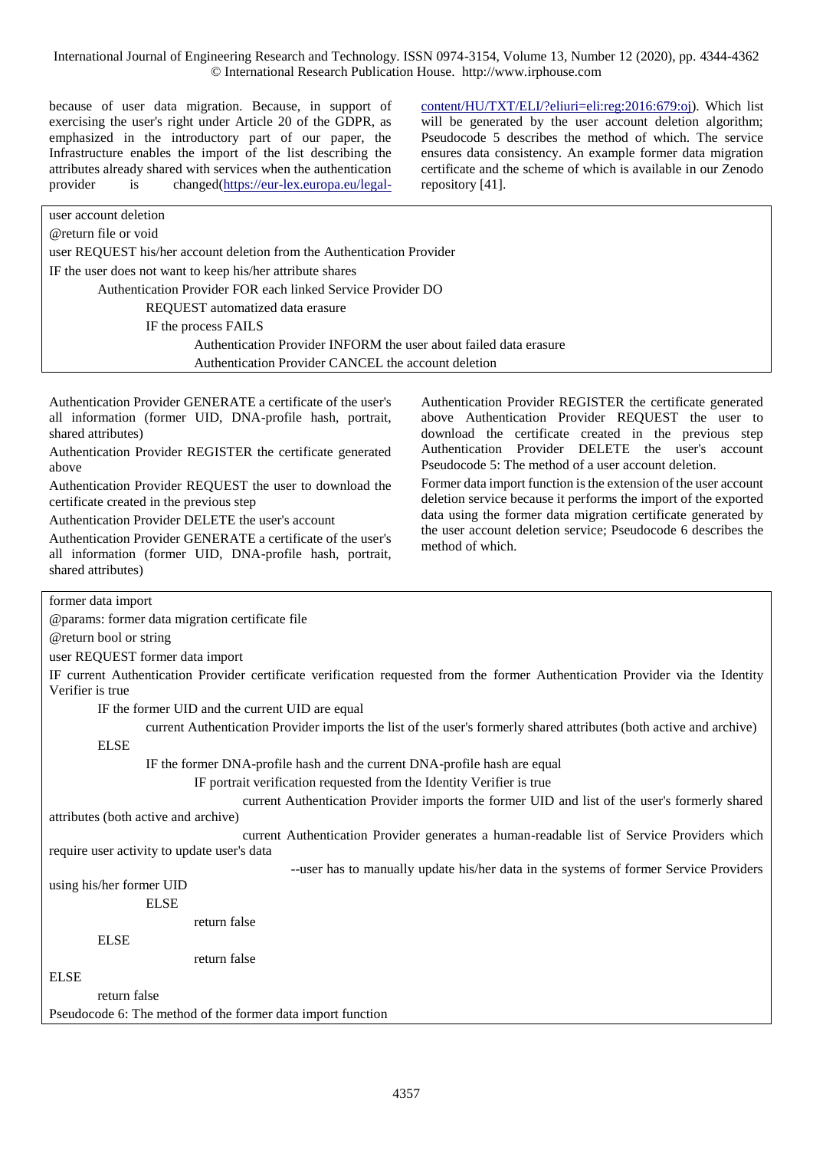because of user data migration. Because, in support of exercising the user's right under Article 20 of the GDPR, as emphasized in the introductory part of our paper, the Infrastructure enables the import of the list describing the attributes already shared with services when the authentication provider is changed[\(https://eur-lex.europa.eu/legal-](https://eur-lex.europa.eu/legal-content/HU/TXT/ELI/?eliuri=eli:reg:2016:679:oj) [content/HU/TXT/ELI/?eliuri=eli:reg:2016:679:oj\)](https://eur-lex.europa.eu/legal-content/HU/TXT/ELI/?eliuri=eli:reg:2016:679:oj). Which list will be generated by the user account deletion algorithm; Pseudocode 5 describes the method of which. The service ensures data consistency. An example former data migration certificate and the scheme of which is available in our Zenodo repository [41].

| user account deletion                                                  |  |
|------------------------------------------------------------------------|--|
| @return file or void                                                   |  |
| user REQUEST his/her account deletion from the Authentication Provider |  |
| IF the user does not want to keep his/her attribute shares             |  |
| Authentication Provider FOR each linked Service Provider DO            |  |
| REQUEST automatized data erasure                                       |  |
| IF the process FAILS                                                   |  |
| Authentication Provider INFORM the user about failed data erasure      |  |
| Authentication Provider CANCEL the account deletion                    |  |
|                                                                        |  |

Authentication Provider GENERATE a certificate of the user's all information (former UID, DNA-profile hash, portrait, shared attributes)

Authentication Provider REGISTER the certificate generated above

Authentication Provider REQUEST the user to download the certificate created in the previous step

Authentication Provider DELETE the user's account

Authentication Provider GENERATE a certificate of the user's all information (former UID, DNA-profile hash, portrait, shared attributes)

Authentication Provider REGISTER the certificate generated above Authentication Provider REQUEST the user to download the certificate created in the previous step Authentication Provider DELETE the user's account Pseudocode 5: The method of a user account deletion.

Former data import function is the extension of the user account deletion service because it performs the import of the exported data using the former data migration certificate generated by the user account deletion service; Pseudocode 6 describes the method of which.

former data import

@params: former data migration certificate file

@return bool or string

user REQUEST former data import

IF current Authentication Provider certificate verification requested from the former Authentication Provider via the Identity Verifier is true

IF the former UID and the current UID are equal

current Authentication Provider imports the list of the user's formerly shared attributes (both active and archive)

ELSE

IF the former DNA-profile hash and the current DNA-profile hash are equal

IF portrait verification requested from the Identity Verifier is true

 current Authentication Provider imports the former UID and list of the user's formerly shared attributes (both active and archive)

current Authentication Provider generates a human-readable list of Service Providers which

require user activity to update user's data

--user has to manually update his/her data in the systems of former Service Providers

using his/her former UID ELSE

return false

ELSE

return false

ELSE

return false

Pseudocode 6: The method of the former data import function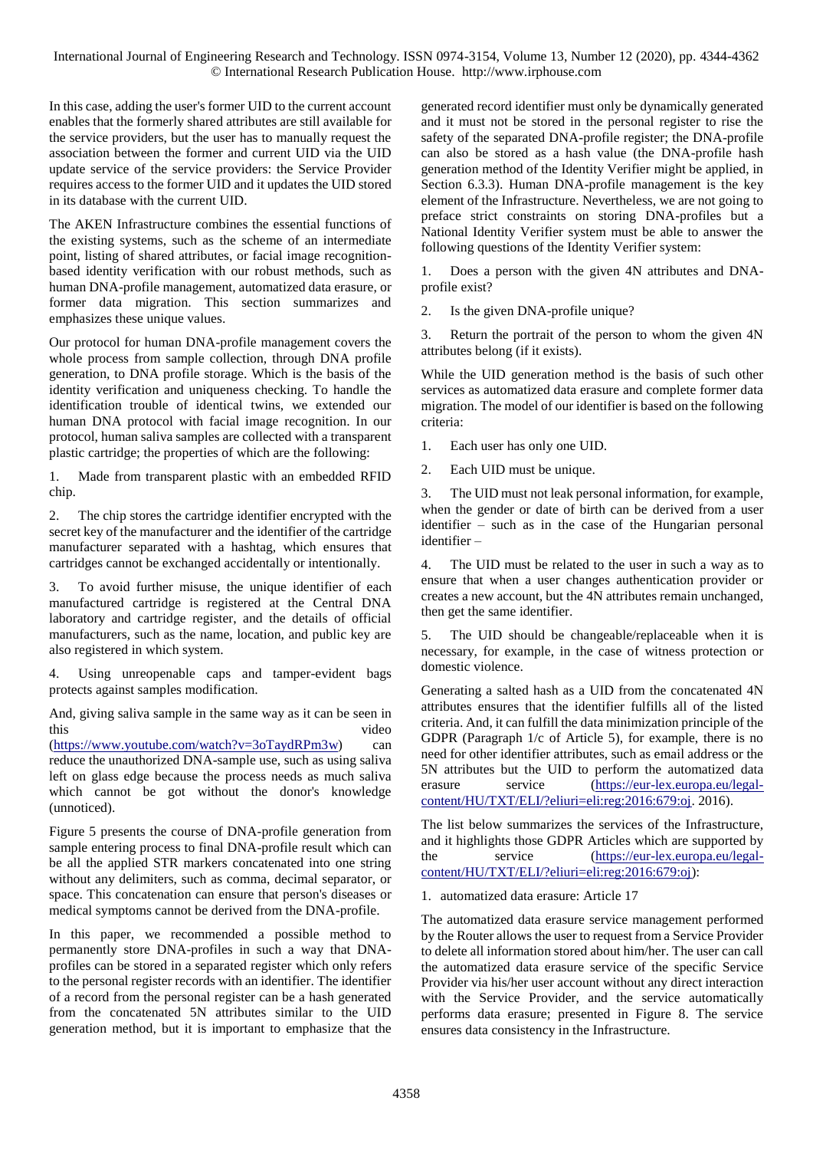In this case, adding the user's former UID to the current account enables that the formerly shared attributes are still available for the service providers, but the user has to manually request the association between the former and current UID via the UID update service of the service providers: the Service Provider requires access to the former UID and it updates the UID stored in its database with the current UID.

The AKEN Infrastructure combines the essential functions of the existing systems, such as the scheme of an intermediate point, listing of shared attributes, or facial image recognitionbased identity verification with our robust methods, such as human DNA-profile management, automatized data erasure, or former data migration. This section summarizes and emphasizes these unique values.

Our protocol for human DNA-profile management covers the whole process from sample collection, through DNA profile generation, to DNA profile storage. Which is the basis of the identity verification and uniqueness checking. To handle the identification trouble of identical twins, we extended our human DNA protocol with facial image recognition. In our protocol, human saliva samples are collected with a transparent plastic cartridge; the properties of which are the following:

1. Made from transparent plastic with an embedded RFID chip.

2. The chip stores the cartridge identifier encrypted with the secret key of the manufacturer and the identifier of the cartridge manufacturer separated with a hashtag, which ensures that cartridges cannot be exchanged accidentally or intentionally.

3. To avoid further misuse, the unique identifier of each manufactured cartridge is registered at the Central DNA laboratory and cartridge register, and the details of official manufacturers, such as the name, location, and public key are also registered in which system.

Using unreopenable caps and tamper-evident bags protects against samples modification.

And, giving saliva sample in the same way as it can be seen in this video

[\(https://www.youtube.com/watch?v=3oTaydRPm3w\)](https://www.youtube.com/watch?v=3oTaydRPm3w) can reduce the unauthorized DNA-sample use, such as using saliva left on glass edge because the process needs as much saliva which cannot be got without the donor's knowledge (unnoticed).

Figure 5 presents the course of DNA-profile generation from sample entering process to final DNA-profile result which can be all the applied STR markers concatenated into one string without any delimiters, such as comma, decimal separator, or space. This concatenation can ensure that person's diseases or medical symptoms cannot be derived from the DNA-profile.

In this paper, we recommended a possible method to permanently store DNA-profiles in such a way that DNAprofiles can be stored in a separated register which only refers to the personal register records with an identifier. The identifier of a record from the personal register can be a hash generated from the concatenated 5N attributes similar to the UID generation method, but it is important to emphasize that the generated record identifier must only be dynamically generated and it must not be stored in the personal register to rise the safety of the separated DNA-profile register; the DNA-profile can also be stored as a hash value (the DNA-profile hash generation method of the Identity Verifier might be applied, in Section 6.3.3). Human DNA-profile management is the key element of the Infrastructure. Nevertheless, we are not going to preface strict constraints on storing DNA-profiles but a National Identity Verifier system must be able to answer the following questions of the Identity Verifier system:

1. Does a person with the given 4N attributes and DNAprofile exist?

2. Is the given DNA-profile unique?

3. Return the portrait of the person to whom the given 4N attributes belong (if it exists).

While the UID generation method is the basis of such other services as automatized data erasure and complete former data migration. The model of our identifier is based on the following criteria:

1. Each user has only one UID.

2. Each UID must be unique.

3. The UID must not leak personal information, for example, when the gender or date of birth can be derived from a user identifier – such as in the case of the Hungarian personal identifier –

4. The UID must be related to the user in such a way as to ensure that when a user changes authentication provider or creates a new account, but the 4N attributes remain unchanged, then get the same identifier.

5. The UID should be changeable/replaceable when it is necessary, for example, in the case of witness protection or domestic violence.

Generating a salted hash as a UID from the concatenated 4N attributes ensures that the identifier fulfills all of the listed criteria. And, it can fulfill the data minimization principle of the GDPR (Paragraph 1/c of Article 5), for example, there is no need for other identifier attributes, such as email address or the 5N attributes but the UID to perform the automatized data erasure service [\(https://eur-lex.europa.eu/legal](https://eur-lex.europa.eu/legal-content/HU/TXT/ELI/?eliuri=eli:reg:2016:679:oj)[content/HU/TXT/ELI/?eliuri=eli:reg:2016:679:oj.](https://eur-lex.europa.eu/legal-content/HU/TXT/ELI/?eliuri=eli:reg:2016:679:oj) 2016).

The list below summarizes the services of the Infrastructure, and it highlights those GDPR Articles which are supported by the service [\(https://eur-lex.europa.eu/legal](https://eur-lex.europa.eu/legal-content/HU/TXT/ELI/?eliuri=eli:reg:2016:679:oj)[content/HU/TXT/ELI/?eliuri=eli:reg:2016:679:oj\)](https://eur-lex.europa.eu/legal-content/HU/TXT/ELI/?eliuri=eli:reg:2016:679:oj):

1. automatized data erasure: Article 17

The automatized data erasure service management performed by the Router allows the user to request from a Service Provider to delete all information stored about him/her. The user can call the automatized data erasure service of the specific Service Provider via his/her user account without any direct interaction with the Service Provider, and the service automatically performs data erasure; presented in Figure 8. The service ensures data consistency in the Infrastructure.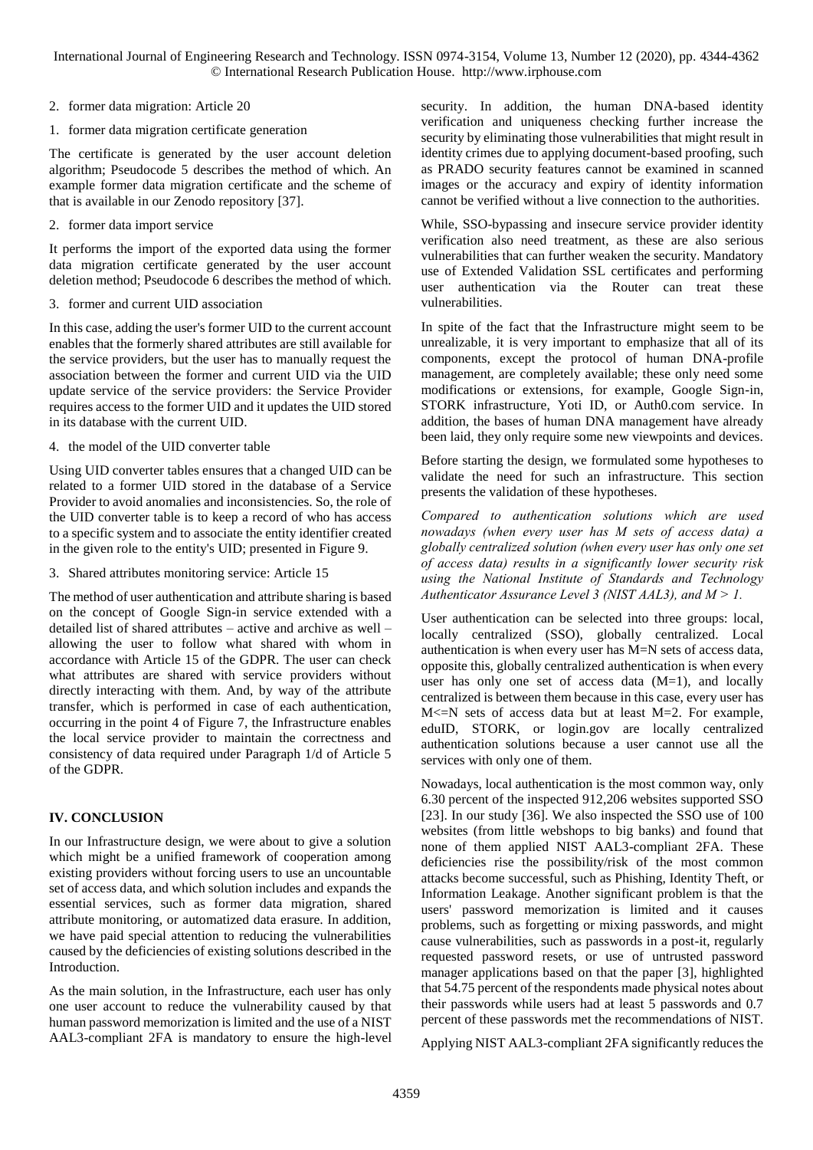2. former data migration: Article 20

1. former data migration certificate generation

The certificate is generated by the user account deletion algorithm; Pseudocode 5 describes the method of which. An example former data migration certificate and the scheme of that is available in our Zenodo repository [37].

2. former data import service

It performs the import of the exported data using the former data migration certificate generated by the user account deletion method; Pseudocode 6 describes the method of which.

3. former and current UID association

In this case, adding the user's former UID to the current account enables that the formerly shared attributes are still available for the service providers, but the user has to manually request the association between the former and current UID via the UID update service of the service providers: the Service Provider requires access to the former UID and it updates the UID stored in its database with the current UID.

4. the model of the UID converter table

Using UID converter tables ensures that a changed UID can be related to a former UID stored in the database of a Service Provider to avoid anomalies and inconsistencies. So, the role of the UID converter table is to keep a record of who has access to a specific system and to associate the entity identifier created in the given role to the entity's UID; presented in Figure 9.

3. Shared attributes monitoring service: Article 15

The method of user authentication and attribute sharing is based on the concept of Google Sign-in service extended with a detailed list of shared attributes – active and archive as well – allowing the user to follow what shared with whom in accordance with Article 15 of the GDPR. The user can check what attributes are shared with service providers without directly interacting with them. And, by way of the attribute transfer, which is performed in case of each authentication, occurring in the point 4 of Figure 7, the Infrastructure enables the local service provider to maintain the correctness and consistency of data required under Paragraph 1/d of Article 5 of the GDPR.

# **IV. CONCLUSION**

In our Infrastructure design, we were about to give a solution which might be a unified framework of cooperation among existing providers without forcing users to use an uncountable set of access data, and which solution includes and expands the essential services, such as former data migration, shared attribute monitoring, or automatized data erasure. In addition, we have paid special attention to reducing the vulnerabilities caused by the deficiencies of existing solutions described in the Introduction.

As the main solution, in the Infrastructure, each user has only one user account to reduce the vulnerability caused by that human password memorization is limited and the use of a NIST AAL3-compliant 2FA is mandatory to ensure the high-level security. In addition, the human DNA-based identity verification and uniqueness checking further increase the security by eliminating those vulnerabilities that might result in identity crimes due to applying document-based proofing, such as PRADO security features cannot be examined in scanned images or the accuracy and expiry of identity information cannot be verified without a live connection to the authorities.

While, SSO-bypassing and insecure service provider identity verification also need treatment, as these are also serious vulnerabilities that can further weaken the security. Mandatory use of Extended Validation SSL certificates and performing user authentication via the Router can treat these vulnerabilities.

In spite of the fact that the Infrastructure might seem to be unrealizable, it is very important to emphasize that all of its components, except the protocol of human DNA-profile management, are completely available; these only need some modifications or extensions, for example, Google Sign-in, STORK infrastructure, Yoti ID, or Auth0.com service. In addition, the bases of human DNA management have already been laid, they only require some new viewpoints and devices.

Before starting the design, we formulated some hypotheses to validate the need for such an infrastructure. This section presents the validation of these hypotheses.

*Compared to authentication solutions which are used nowadays (when every user has M sets of access data) a globally centralized solution (when every user has only one set of access data) results in a significantly lower security risk using the National Institute of Standards and Technology Authenticator Assurance Level 3 (NIST AAL3), and M > 1.* 

User authentication can be selected into three groups: local, locally centralized (SSO), globally centralized. Local authentication is when every user has M=N sets of access data, opposite this, globally centralized authentication is when every user has only one set of access data  $(M=1)$ , and locally centralized is between them because in this case, every user has  $M \leq N$  sets of access data but at least  $M = 2$ . For example, eduID, STORK, or login.gov are locally centralized authentication solutions because a user cannot use all the services with only one of them.

Nowadays, local authentication is the most common way, only 6.30 percent of the inspected 912,206 websites supported SSO [23]. In our study [36]. We also inspected the SSO use of 100 websites (from little webshops to big banks) and found that none of them applied NIST AAL3-compliant 2FA. These deficiencies rise the possibility/risk of the most common attacks become successful, such as Phishing, Identity Theft, or Information Leakage. Another significant problem is that the users' password memorization is limited and it causes problems, such as forgetting or mixing passwords, and might cause vulnerabilities, such as passwords in a post-it, regularly requested password resets, or use of untrusted password manager applications based on that the paper [3], highlighted that 54.75 percent of the respondents made physical notes about their passwords while users had at least 5 passwords and 0.7 percent of these passwords met the recommendations of NIST.

Applying NIST AAL3-compliant 2FA significantly reduces the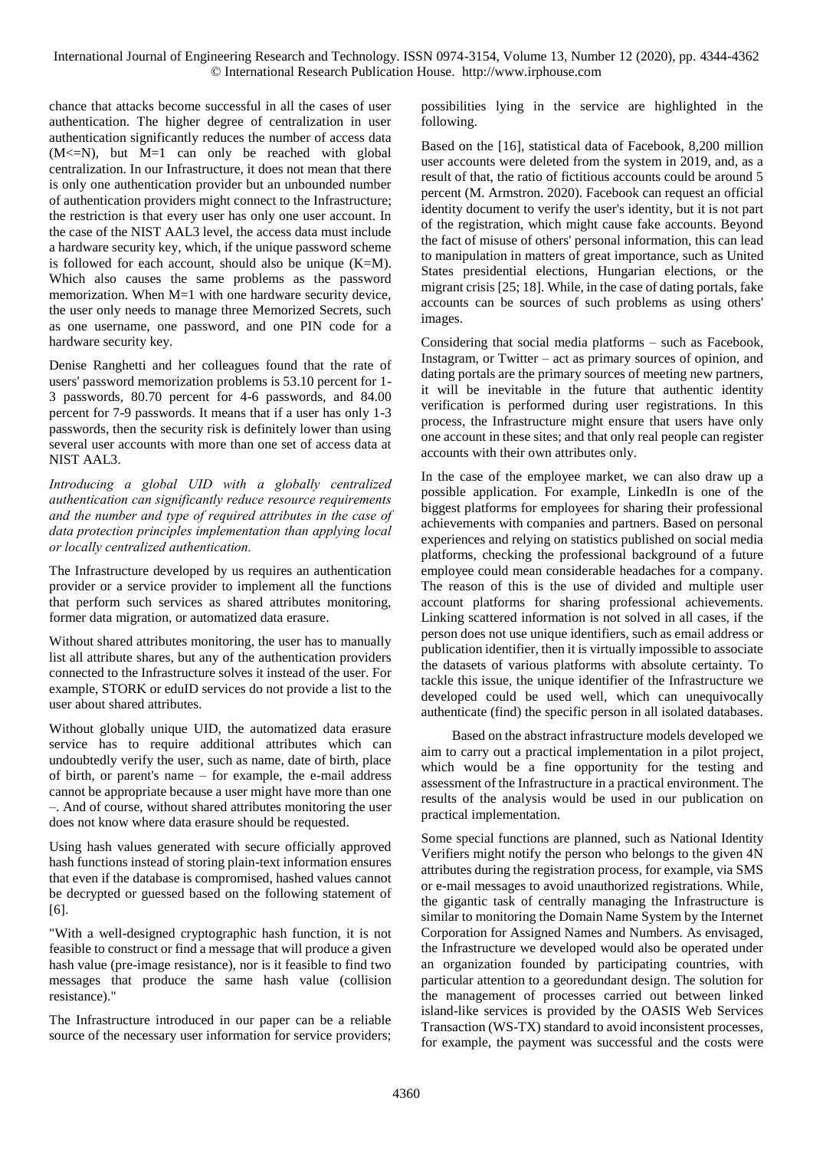chance that attacks become successful in all the cases of user authentication. The higher degree of centralization in user authentication significantly reduces the number of access data  $(M < = N)$ , but  $M = 1$  can only be reached with global centralization. In our Infrastructure, it does not mean that there is only one authentication provider but an unbounded number of authentication providers might connect to the Infrastructure; the restriction is that every user has only one user account. In the case of the NIST AAL3 level, the access data must include a hardware security key, which, if the unique password scheme is followed for each account, should also be unique (K=M). Which also causes the same problems as the password memorization. When M=1 with one hardware security device, the user only needs to manage three Memorized Secrets, such as one username, one password, and one PIN code for a hardware security key.

Denise Ranghetti and her colleagues found that the rate of users' password memorization problems is 53.10 percent for 1- 3 passwords, 80.70 percent for 4-6 passwords, and 84.00 percent for 7-9 passwords. It means that if a user has only 1-3 passwords, then the security risk is definitely lower than using several user accounts with more than one set of access data at NIST AAL3.

*Introducing a global UID with a globally centralized authentication can significantly reduce resource requirements and the number and type of required attributes in the case of data protection principles implementation than applying local or locally centralized authentication.*

The Infrastructure developed by us requires an authentication provider or a service provider to implement all the functions that perform such services as shared attributes monitoring, former data migration, or automatized data erasure.

Without shared attributes monitoring, the user has to manually list all attribute shares, but any of the authentication providers connected to the Infrastructure solves it instead of the user. For example, STORK or eduID services do not provide a list to the user about shared attributes.

Without globally unique UID, the automatized data erasure service has to require additional attributes which can undoubtedly verify the user, such as name, date of birth, place of birth, or parent's name – for example, the e-mail address cannot be appropriate because a user might have more than one –. And of course, without shared attributes monitoring the user does not know where data erasure should be requested.

Using hash values generated with secure officially approved hash functions instead of storing plain-text information ensures that even if the database is compromised, hashed values cannot be decrypted or guessed based on the following statement of [6].

"With a well-designed cryptographic hash function, it is not feasible to construct or find a message that will produce a given hash value (pre-image resistance), nor is it feasible to find two messages that produce the same hash value (collision resistance)."

The Infrastructure introduced in our paper can be a reliable source of the necessary user information for service providers;

possibilities lying in the service are highlighted in the following.

Based on the [16], statistical data of Facebook, 8,200 million user accounts were deleted from the system in 2019, and, as a result of that, the ratio of fictitious accounts could be around 5 percent (M. Armstron. 2020). Facebook can request an official identity document to verify the user's identity, but it is not part of the registration, which might cause fake accounts. Beyond the fact of misuse of others' personal information, this can lead to manipulation in matters of great importance, such as United States presidential elections, Hungarian elections, or the migrant crisis [25; 18]. While, in the case of dating portals, fake accounts can be sources of such problems as using others' images.

Considering that social media platforms – such as Facebook, Instagram, or Twitter – act as primary sources of opinion, and dating portals are the primary sources of meeting new partners, it will be inevitable in the future that authentic identity verification is performed during user registrations. In this process, the Infrastructure might ensure that users have only one account in these sites; and that only real people can register accounts with their own attributes only.

In the case of the employee market, we can also draw up a possible application. For example, LinkedIn is one of the biggest platforms for employees for sharing their professional achievements with companies and partners. Based on personal experiences and relying on statistics published on social media platforms, checking the professional background of a future employee could mean considerable headaches for a company. The reason of this is the use of divided and multiple user account platforms for sharing professional achievements. Linking scattered information is not solved in all cases, if the person does not use unique identifiers, such as email address or publication identifier, then it is virtually impossible to associate the datasets of various platforms with absolute certainty. To tackle this issue, the unique identifier of the Infrastructure we developed could be used well, which can unequivocally authenticate (find) the specific person in all isolated databases.

 Based on the abstract infrastructure models developed we aim to carry out a practical implementation in a pilot project, which would be a fine opportunity for the testing and assessment of the Infrastructure in a practical environment. The results of the analysis would be used in our publication on practical implementation.

Some special functions are planned, such as National Identity Verifiers might notify the person who belongs to the given 4N attributes during the registration process, for example, via SMS or e-mail messages to avoid unauthorized registrations. While, the gigantic task of centrally managing the Infrastructure is similar to monitoring the Domain Name System by the Internet Corporation for Assigned Names and Numbers. As envisaged, the Infrastructure we developed would also be operated under an organization founded by participating countries, with particular attention to a georedundant design. The solution for the management of processes carried out between linked island-like services is provided by the OASIS Web Services Transaction (WS-TX) standard to avoid inconsistent processes, for example, the payment was successful and the costs were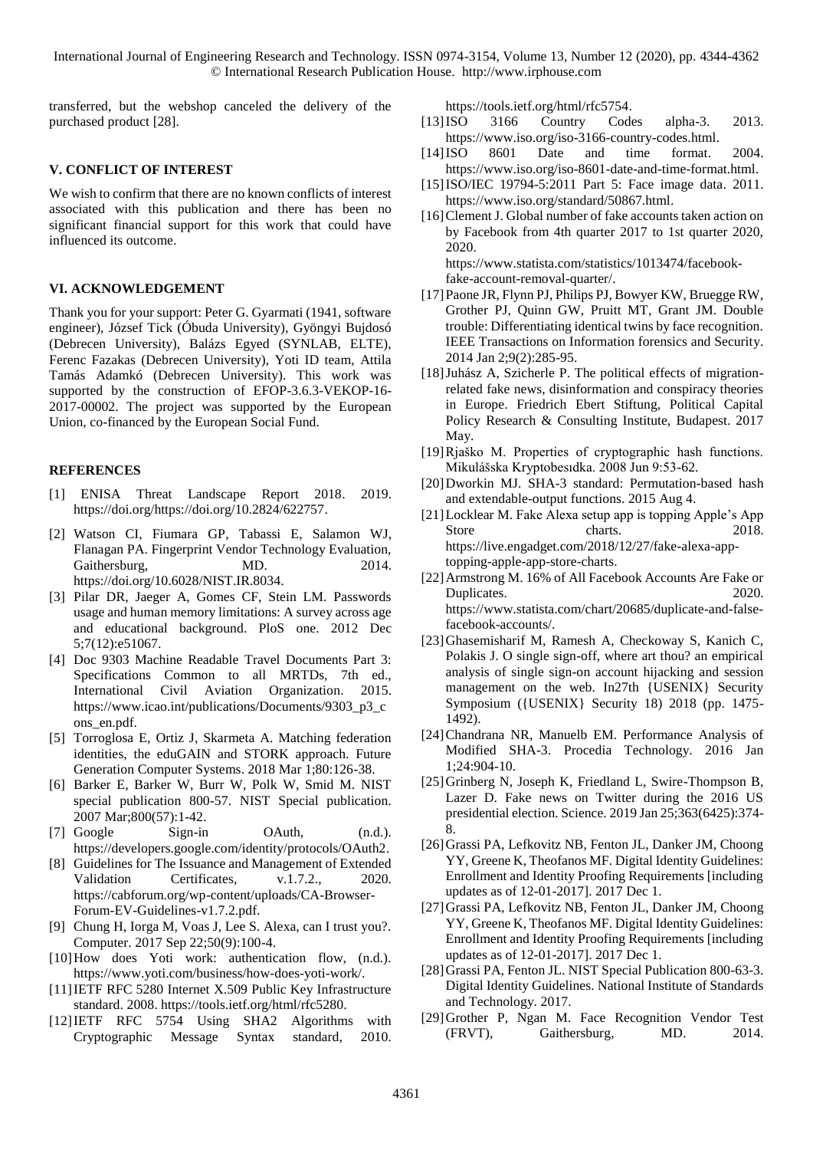transferred, but the webshop canceled the delivery of the purchased product [28].

#### **V. CONFLICT OF INTEREST**

We wish to confirm that there are no known conflicts of interest associated with this publication and there has been no significant financial support for this work that could have influenced its outcome.

## **VI. ACKNOWLEDGEMENT**

Thank you for your support: Peter G. Gyarmati (1941, software engineer), József Tick (Óbuda University), Gyöngyi Bujdosó (Debrecen University), Balázs Egyed (SYNLAB, ELTE), Ferenc Fazakas (Debrecen University), Yoti ID team, Attila Tamás Adamkó (Debrecen University). This work was supported by the construction of EFOP-3.6.3-VEKOP-16- 2017-00002. The project was supported by the European Union, co-financed by the European Social Fund.

## **REFERENCES**

- [1] ENISA Threat Landscape Report 2018. 2019. [https://doi.org/https://doi.org/10.2824/622757.](https://doi.org/https:/doi.org/10.2824/622757)
- [2] Watson CI, Fiumara GP, Tabassi E, Salamon WJ, Flanagan PA. Fingerprint Vendor Technology Evaluation, Gaithersburg, MD. 2014. https://doi.org/10.6028/NIST.IR.8034.
- [3] Pilar DR, Jaeger A, Gomes CF, Stein LM. Passwords usage and human memory limitations: A survey across age and educational background. PloS one. 2012 Dec 5;7(12):e51067.
- [4] Doc 9303 Machine Readable Travel Documents Part 3: Specifications Common to all MRTDs, 7th ed., International Civil Aviation Organization. 2015. https://www.icao.int/publications/Documents/9303\_p3\_c ons\_en.pdf.
- [5] Torroglosa E, Ortiz J, Skarmeta A. Matching federation identities, the eduGAIN and STORK approach. Future Generation Computer Systems. 2018 Mar 1;80:126-38.
- [6] Barker E, Barker W, Burr W, Polk W, Smid M. NIST special publication 800-57. NIST Special publication. 2007 Mar;800(57):1-42.
- [7] Google Sign-in OAuth, (n.d.). [https://developers.google.com/identity/protocols/OAuth2.](https://developers.google.com/identity/protocols/OAuth2)
- [8] Guidelines for The Issuance and Management of Extended Validation Certificates, v.1.7.2., 2020. https://cabforum.org/wp-content/uploads/CA-Browser-Forum-EV-Guidelines-v1.7.2.pdf.
- [9] Chung H, Iorga M, Voas J, Lee S. Alexa, can I trust you?. Computer. 2017 Sep 22;50(9):100-4.
- [10]How does Yoti work: authentication flow, (n.d.). [https://www.yoti.com/business/how-does-yoti-work/.](https://www.yoti.com/business/how-does-yoti-work/)
- [11]IETF RFC 5280 Internet X.509 Public Key Infrastructure standard. 2008. https://tools.ietf.org/html/rfc5280.
- [12]IETF RFC 5754 Using SHA2 Algorithms with Cryptographic Message Syntax standard, 2010.

https://tools.ietf.org/html/rfc5754.

- [13]ISO 3166 Country Codes alpha-3. 2013. https://www.iso.org/iso-3166-country-codes.html.
- [14]ISO 8601 Date and time format. 2004. https://www.iso.org/iso-8601-date-and-time-format.html.
- [15]ISO/IEC 19794-5:2011 Part 5: Face image data. 2011. [https://www.iso.org/standard/50867.html.](https://www.iso.org/standard/50867.html)
- [16] Clement J. Global number of fake accounts taken action on by Facebook from 4th quarter 2017 to 1st quarter 2020, 2020. [https://www.statista.com/statistics/1013474/facebook-](https://www.statista.com/statistics/1013474/facebook-fake-account-removal-quarter/)

[fake-account-removal-quarter/.](https://www.statista.com/statistics/1013474/facebook-fake-account-removal-quarter/)

- [17] Paone JR, Flynn PJ, Philips PJ, Bowyer KW, Bruegge RW, Grother PJ, Quinn GW, Pruitt MT, Grant JM. Double trouble: Differentiating identical twins by face recognition. IEEE Transactions on Information forensics and Security. 2014 Jan 2;9(2):285-95.
- [18]Juhász A, Szicherle P. The political effects of migrationrelated fake news, disinformation and conspiracy theories in Europe. Friedrich Ebert Stiftung, Political Capital Policy Research & Consulting Institute, Budapest. 2017 May.
- [19]Rjaško M. Properties of cryptographic hash functions. Mikulášska Kryptobesıdka. 2008 Jun 9:53-62.
- [20]Dworkin MJ. SHA-3 standard: Permutation-based hash and extendable-output functions. 2015 Aug 4.
- [21]Locklear M. Fake Alexa setup app is topping Apple's App Store charts. 2018. [https://live.engadget.com/2018/12/27/fake-alexa-app](https://live.engadget.com/2018/12/27/fake-alexa-app-topping-apple-app-store-charts)[topping-apple-app-store-charts.](https://live.engadget.com/2018/12/27/fake-alexa-app-topping-apple-app-store-charts)
- [22]Armstrong M. 16% of All Facebook Accounts Are Fake or Duplicates. 2020. [https://www.statista.com/chart/20685/duplicate-and-false](https://www.statista.com/chart/20685/duplicate-and-false-facebook-accounts/)[facebook-accounts/.](https://www.statista.com/chart/20685/duplicate-and-false-facebook-accounts/)
- [23]Ghasemisharif M, Ramesh A, Checkoway S, Kanich C, Polakis J. O single sign-off, where art thou? an empirical analysis of single sign-on account hijacking and session management on the web. In27th {USENIX} Security Symposium ({USENIX} Security 18) 2018 (pp. 1475- 1492).
- [24]Chandrana NR, Manuelb EM. Performance Analysis of Modified SHA-3. Procedia Technology. 2016 Jan 1;24:904-10.
- [25]Grinberg N, Joseph K, Friedland L, Swire-Thompson B, Lazer D. Fake news on Twitter during the 2016 US presidential election. Science. 2019 Jan 25;363(6425):374- 8.
- [26]Grassi PA, Lefkovitz NB, Fenton JL, Danker JM, Choong YY, Greene K, Theofanos MF. Digital Identity Guidelines: Enrollment and Identity Proofing Requirements [including updates as of 12-01-2017]. 2017 Dec 1.
- [27]Grassi PA, Lefkovitz NB, Fenton JL, Danker JM, Choong YY, Greene K, Theofanos MF. Digital Identity Guidelines: Enrollment and Identity Proofing Requirements [including updates as of 12-01-2017]. 2017 Dec 1.
- [28] Grassi PA, Fenton JL. NIST Special Publication 800-63-3. Digital Identity Guidelines. National Institute of Standards and Technology. 2017.
- [29]Grother P, Ngan M. Face Recognition Vendor Test (FRVT), Gaithersburg, MD. 2014.